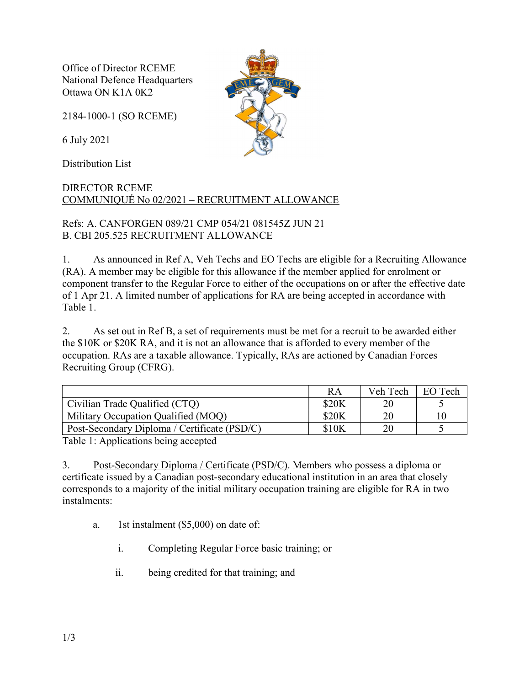Office of Director RCEME National Defence Headquarters Ottawa ON K1A 0K2

2184-1000-1 (SO RCEME)

6 July 2021

Distribution List

## DIRECTOR RCEME COMMUNIQUÉ No 02/2021 – RECRUITMENT ALLOWANCE

Refs: A. CANFORGEN 089/21 CMP 054/21 081545Z JUN 21 B. CBI 205.525 RECRUITMENT ALLOWANCE

1. As announced in Ref A, Veh Techs and EO Techs are eligible for a Recruiting Allowance (RA). A member may be eligible for this allowance if the member applied for enrolment or component transfer to the Regular Force to either of the occupations on or after the effective date of 1 Apr 21. A limited number of applications for RA are being accepted in accordance with Table 1.

2. As set out in Ref B, a set of requirements must be met for a recruit to be awarded either the \$10K or \$20K RA, and it is not an allowance that is afforded to every member of the occupation. RAs are a taxable allowance. Typically, RAs are actioned by Canadian Forces Recruiting Group (CFRG).

|                                              | RA    | Veh Tech | EO Tech |
|----------------------------------------------|-------|----------|---------|
| Civilian Trade Qualified (CTQ)               | \$20K |          |         |
| Military Occupation Qualified (MOQ)          | \$20K | 20       | 10      |
| Post-Secondary Diploma / Certificate (PSD/C) | \$10K | 20       |         |

Table 1: Applications being accepted

3. Post-Secondary Diploma / Certificate (PSD/C). Members who possess a diploma or certificate issued by a Canadian post-secondary educational institution in an area that closely corresponds to a majority of the initial military occupation training are eligible for RA in two instalments:

- a. 1st instalment (\$5,000) on date of:
	- i. Completing Regular Force basic training; or
	- ii. being credited for that training; and

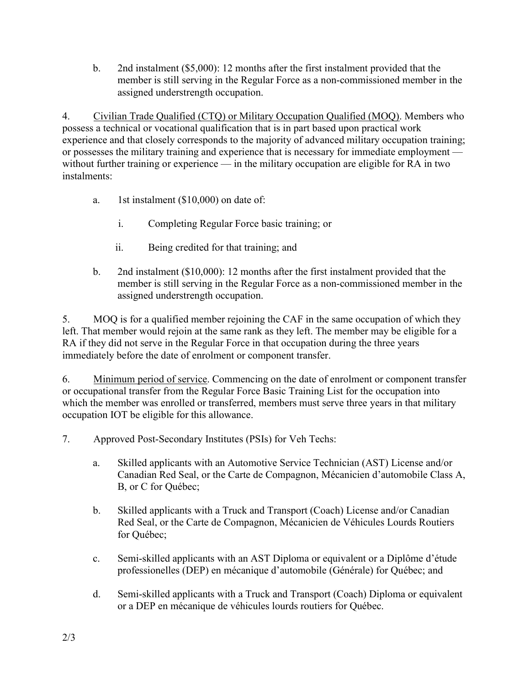b. 2nd instalment (\$5,000): 12 months after the first instalment provided that the member is still serving in the Regular Force as a non-commissioned member in the assigned understrength occupation.

4. Civilian Trade Qualified (CTQ) or Military Occupation Qualified (MOQ). Members who possess a technical or vocational qualification that is in part based upon practical work experience and that closely corresponds to the majority of advanced military occupation training; or possesses the military training and experience that is necessary for immediate employment without further training or experience — in the military occupation are eligible for RA in two instalments:

- a. 1st instalment (\$10,000) on date of:
	- i. Completing Regular Force basic training; or
	- ii. Being credited for that training; and
- b. 2nd instalment (\$10,000): 12 months after the first instalment provided that the member is still serving in the Regular Force as a non-commissioned member in the assigned understrength occupation.

5. MOQ is for a qualified member rejoining the CAF in the same occupation of which they left. That member would rejoin at the same rank as they left. The member may be eligible for a RA if they did not serve in the Regular Force in that occupation during the three years immediately before the date of enrolment or component transfer.

6. Minimum period of service. Commencing on the date of enrolment or component transfer or occupational transfer from the Regular Force Basic Training List for the occupation into which the member was enrolled or transferred, members must serve three years in that military occupation IOT be eligible for this allowance.

- 7. Approved Post-Secondary Institutes (PSIs) for Veh Techs:
	- a. Skilled applicants with an Automotive Service Technician (AST) License and/or Canadian Red Seal, or the Carte de Compagnon, Mécanicien d'automobile Class A, B, or C for Québec;
	- b. Skilled applicants with a Truck and Transport (Coach) License and/or Canadian Red Seal, or the Carte de Compagnon, Mécanicien de Véhicules Lourds Routiers for Québec;
	- c. Semi-skilled applicants with an AST Diploma or equivalent or a Diplôme d'étude professionelles (DEP) en mécanique d'automobile (Générale) for Québec; and
	- d. Semi-skilled applicants with a Truck and Transport (Coach) Diploma or equivalent or a DEP en mécanique de véhicules lourds routiers for Québec.